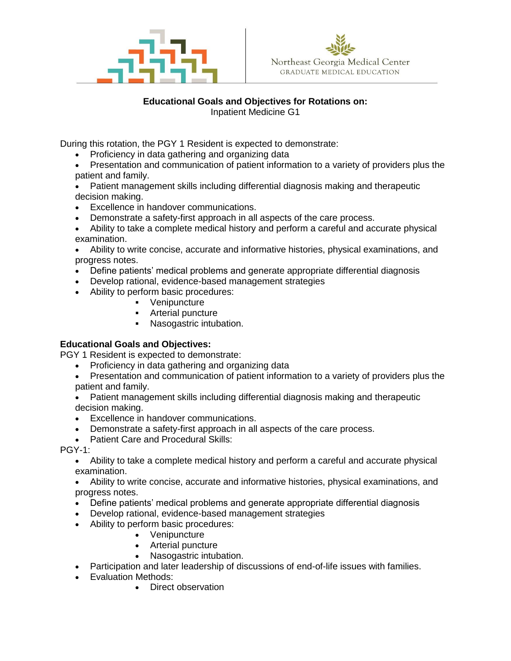



### **Educational Goals and Objectives for Rotations on:** Inpatient Medicine G1

During this rotation, the PGY 1 Resident is expected to demonstrate:

- Proficiency in data gathering and organizing data
- Presentation and communication of patient information to a variety of providers plus the patient and family.
- Patient management skills including differential diagnosis making and therapeutic decision making.
- Excellence in handover communications.
- Demonstrate a safety-first approach in all aspects of the care process.
- Ability to take a complete medical history and perform a careful and accurate physical examination.
- Ability to write concise, accurate and informative histories, physical examinations, and progress notes.
- Define patients' medical problems and generate appropriate differential diagnosis
- Develop rational, evidence-based management strategies
- Ability to perform basic procedures:
	- Venipuncture
	- **EXECUTE:** Arterial puncture
	- Nasogastric intubation.

# **Educational Goals and Objectives:**

PGY 1 Resident is expected to demonstrate:

- Proficiency in data gathering and organizing data
- Presentation and communication of patient information to a variety of providers plus the patient and family.
- Patient management skills including differential diagnosis making and therapeutic decision making.
- Excellence in handover communications.
- Demonstrate a safety-first approach in all aspects of the care process.
- Patient Care and Procedural Skills:
- PGY-1:
	- Ability to take a complete medical history and perform a careful and accurate physical examination.
	- Ability to write concise, accurate and informative histories, physical examinations, and progress notes.
	- Define patients' medical problems and generate appropriate differential diagnosis
	- Develop rational, evidence-based management strategies
	- Ability to perform basic procedures:
		- Venipuncture
		- Arterial puncture
		- Nasogastric intubation.
	- Participation and later leadership of discussions of end-of-life issues with families.
	- Evaluation Methods:
		- Direct observation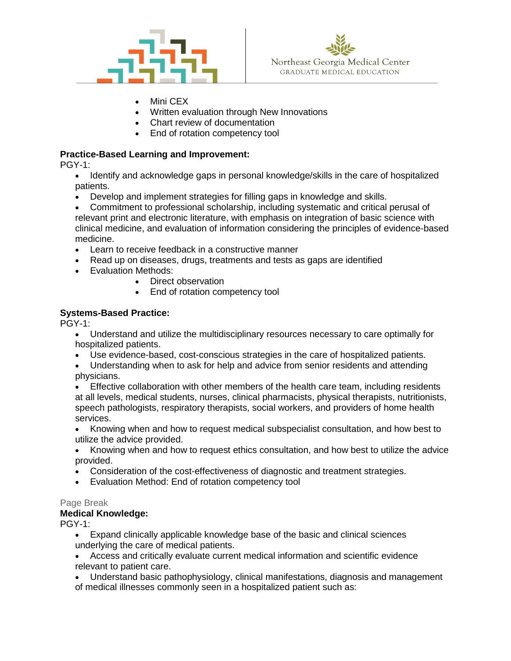



- Mini CEX
- Written evaluation through New Innovations
- Chart review of documentation
- End of rotation competency tool

# **Practice-Based Learning and Improvement:**

PGY-1:

- Identify and acknowledge gaps in personal knowledge/skills in the care of hospitalized patients.
- Develop and implement strategies for filling gaps in knowledge and skills.

• Commitment to professional scholarship, including systematic and critical perusal of relevant print and electronic literature, with emphasis on integration of basic science with clinical medicine, and evaluation of information considering the principles of evidence-based medicine.

- Learn to receive feedback in a constructive manner
- Read up on diseases, drugs, treatments and tests as gaps are identified
- Evaluation Methods:
	- Direct observation
	- End of rotation competency tool

# **Systems-Based Practice:**

PGY-1:

• Understand and utilize the multidisciplinary resources necessary to care optimally for hospitalized patients.

• Use evidence-based, cost-conscious strategies in the care of hospitalized patients.

• Understanding when to ask for help and advice from senior residents and attending physicians.

• Effective collaboration with other members of the health care team, including residents at all levels, medical students, nurses, clinical pharmacists, physical therapists, nutritionists, speech pathologists, respiratory therapists, social workers, and providers of home health services.

• Knowing when and how to request medical subspecialist consultation, and how best to utilize the advice provided.

• Knowing when and how to request ethics consultation, and how best to utilize the advice provided.

- Consideration of the cost-effectiveness of diagnostic and treatment strategies.
- Evaluation Method: End of rotation competency tool

#### Page Break

#### **Medical Knowledge:**

PGY-1:

- Expand clinically applicable knowledge base of the basic and clinical sciences underlying the care of medical patients.
- Access and critically evaluate current medical information and scientific evidence relevant to patient care.
- Understand basic pathophysiology, clinical manifestations, diagnosis and management of medical illnesses commonly seen in a hospitalized patient such as: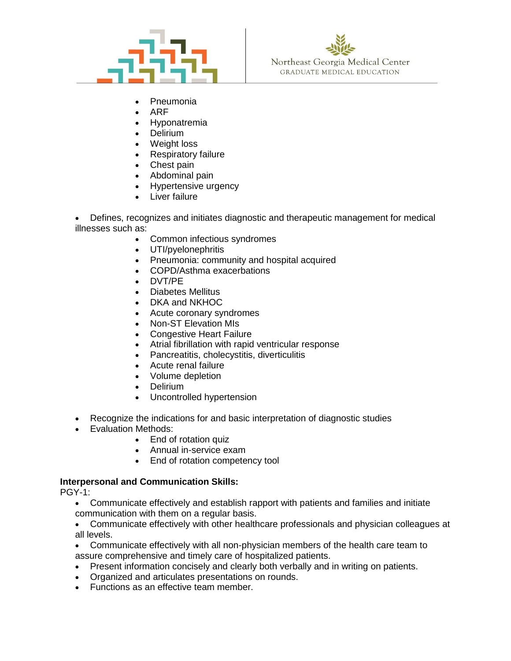



- Pneumonia
- ARF
- Hyponatremia
- Delirium
- Weight loss
- Respiratory failure
- Chest pain
- Abdominal pain
- Hypertensive urgency
- Liver failure

• Defines, recognizes and initiates diagnostic and therapeutic management for medical illnesses such as:

- Common infectious syndromes
- UTI/pyelonephritis
- Pneumonia: community and hospital acquired
- COPD/Asthma exacerbations
- DVT/PE
- Diabetes Mellitus
- DKA and NKHOC
- Acute coronary syndromes
- Non-ST Elevation MIs
- Congestive Heart Failure
- Atrial fibrillation with rapid ventricular response
- Pancreatitis, cholecystitis, diverticulitis
- Acute renal failure
- Volume depletion
- Delirium
- Uncontrolled hypertension
- Recognize the indications for and basic interpretation of diagnostic studies
- Evaluation Methods:
	- End of rotation quiz
	- Annual in-service exam
	- End of rotation competency tool

# **Interpersonal and Communication Skills:**

PGY-1:

- Communicate effectively and establish rapport with patients and families and initiate communication with them on a regular basis.
- Communicate effectively with other healthcare professionals and physician colleagues at all levels.
- Communicate effectively with all non-physician members of the health care team to assure comprehensive and timely care of hospitalized patients.
- Present information concisely and clearly both verbally and in writing on patients.
- Organized and articulates presentations on rounds.
- Functions as an effective team member.